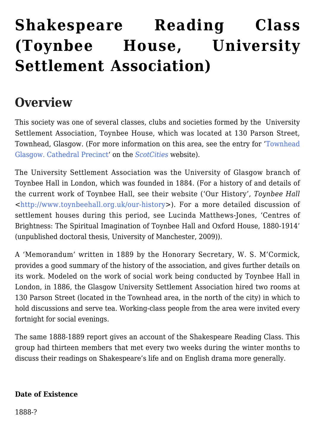# **[Shakespeare Reading Class](https://www.glasgowsliterarybonds.org/societies/shakespeare-reading-class-toynbee-house-university-settlement-association/) [\(Toynbee House, University](https://www.glasgowsliterarybonds.org/societies/shakespeare-reading-class-toynbee-house-university-settlement-association/) [Settlement Association\)](https://www.glasgowsliterarybonds.org/societies/shakespeare-reading-class-toynbee-house-university-settlement-association/)**

# **Overview**

This society was one of several classes, clubs and societies formed by the University Settlement Association, Toynbee House, which was located at 130 Parson Street, Townhead, Glasgow. (For more information on this area, see the entry for '[Townhead](http://www.scotcities.com/townhead.htm) [Glasgow. Cathedral Precinct'](http://www.scotcities.com/townhead.htm) on the *[ScotCities](http://www.scotcities.com/)* website).

The University Settlement Association was the University of Glasgow branch of Toynbee Hall in London, which was founded in 1884. (For a history of and details of the current work of Toynbee Hall, see their website ('Our History', *Toynbee Hall* <[http://www.toynbeehall.org.uk/our-history>](http://www.toynbeehall.org.uk/our-history)). For a more detailed discussion of settlement houses during this period, see Lucinda Matthews-Jones, 'Centres of Brightness: The Spiritual Imagination of Toynbee Hall and Oxford House, 1880-1914' (unpublished doctoral thesis, University of Manchester, 2009)).

A 'Memorandum' written in 1889 by the Honorary Secretary, W. S. M'Cormick, provides a good summary of the history of the association, and gives further details on its work. Modeled on the work of social work being conducted by Toynbee Hall in London, in 1886, the Glasgow University Settlement Association hired two rooms at 130 Parson Street (located in the Townhead area, in the north of the city) in which to hold discussions and serve tea. Working-class people from the area were invited every fortnight for social evenings.

The same 1888-1889 report gives an account of the Shakespeare Reading Class. This group had thirteen members that met every two weeks during the winter months to discuss their readings on Shakespeare's life and on English drama more generally.

#### **Date of Existence**

1888-?